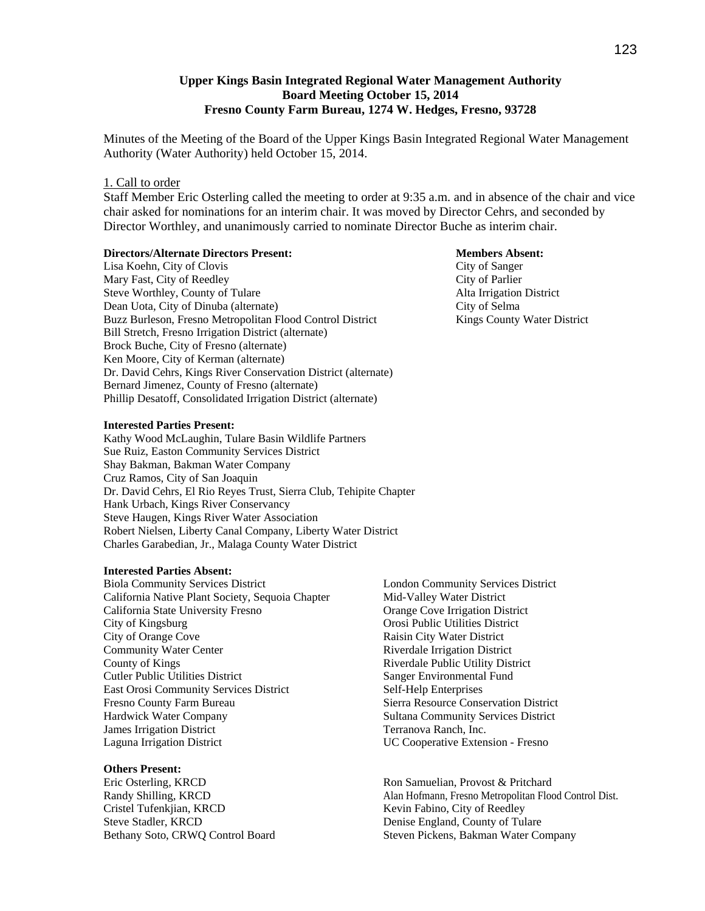## **Upper Kings Basin Integrated Regional Water Management Authority Board Meeting October 15, 2014 Fresno County Farm Bureau, 1274 W. Hedges, Fresno, 93728**

Minutes of the Meeting of the Board of the Upper Kings Basin Integrated Regional Water Management Authority (Water Authority) held October 15, 2014.

## 1. Call to order

Staff Member Eric Osterling called the meeting to order at 9:35 a.m. and in absence of the chair and vice chair asked for nominations for an interim chair. It was moved by Director Cehrs, and seconded by Director Worthley, and unanimously carried to nominate Director Buche as interim chair.

## **Directors/Alternate Directors Present: Members Absent:**

Lisa Koehn, City of Clovis City of Sanger Mary Fast, City of Reedley City of Parlier Steve Worthley, County of Tulare Alta Irrigation District Dean Uota, City of Dinuba (alternate) City of Selma Buzz Burleson, Fresno Metropolitan Flood Control District Kings County Water District Bill Stretch, Fresno Irrigation District (alternate) Brock Buche, City of Fresno (alternate) Ken Moore, City of Kerman (alternate) Dr. David Cehrs, Kings River Conservation District (alternate) Bernard Jimenez, County of Fresno (alternate) Phillip Desatoff, Consolidated Irrigation District (alternate)

#### **Interested Parties Present:**

Kathy Wood McLaughin, Tulare Basin Wildlife Partners Sue Ruiz, Easton Community Services District Shay Bakman, Bakman Water Company Cruz Ramos, City of San Joaquin Dr. David Cehrs, El Rio Reyes Trust, Sierra Club, Tehipite Chapter Hank Urbach, Kings River Conservancy Steve Haugen, Kings River Water Association Robert Nielsen, Liberty Canal Company, Liberty Water District Charles Garabedian, Jr., Malaga County Water District

#### **Interested Parties Absent:**

Biola Community Services District California Native Plant Society, Sequoia Chapter California State University Fresno City of Kingsburg City of Orange Cove Community Water Center County of Kings Cutler Public Utilities District East Orosi Community Services District Fresno County Farm Bureau Hardwick Water Company James Irrigation District Laguna Irrigation District

#### **Others Present:**

Eric Osterling, KRCD Randy Shilling, KRCD Cristel Tufenkjian, KRCD Steve Stadler, KRCD Bethany Soto, CRWQ Control Board London Community Services District Mid-Valley Water District Orange Cove Irrigation District Orosi Public Utilities District Raisin City Water District Riverdale Irrigation District Riverdale Public Utility District Sanger Environmental Fund Self-Help Enterprises Sierra Resource Conservation District Sultana Community Services District Terranova Ranch, Inc. UC Cooperative Extension - Fresno

Ron Samuelian, Provost & Pritchard Alan Hofmann, Fresno Metropolitan Flood Control Dist. Kevin Fabino, City of Reedley Denise England, County of Tulare Steven Pickens, Bakman Water Company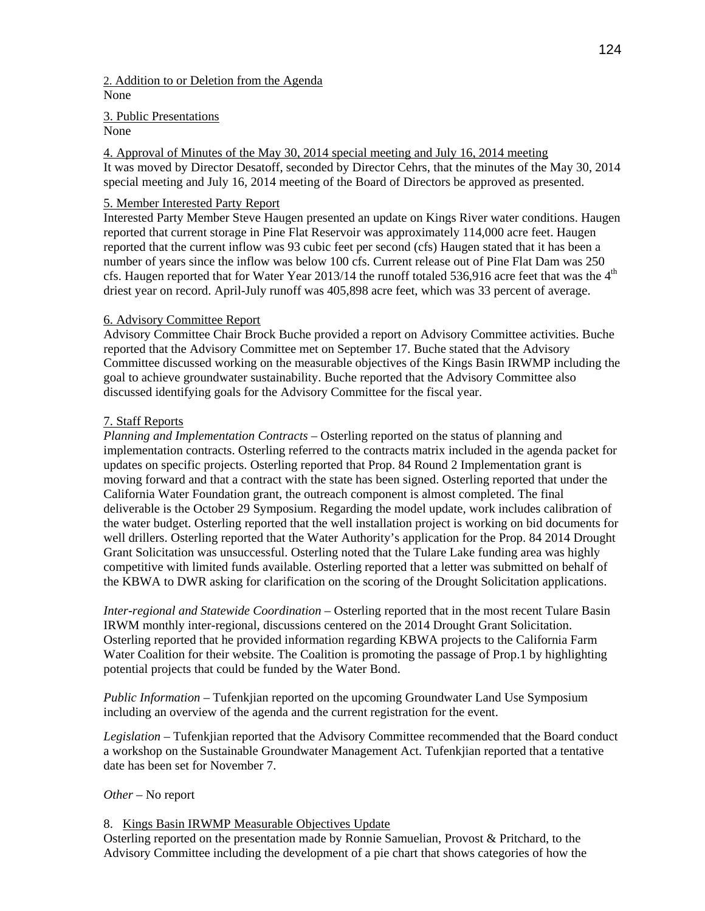## 2. Addition to or Deletion from the Agenda None

3. Public Presentations

## None

4. Approval of Minutes of the May 30, 2014 special meeting and July 16, 2014 meeting It was moved by Director Desatoff, seconded by Director Cehrs, that the minutes of the May 30, 2014 special meeting and July 16, 2014 meeting of the Board of Directors be approved as presented.

# 5. Member Interested Party Report

Interested Party Member Steve Haugen presented an update on Kings River water conditions. Haugen reported that current storage in Pine Flat Reservoir was approximately 114,000 acre feet. Haugen reported that the current inflow was 93 cubic feet per second (cfs) Haugen stated that it has been a number of years since the inflow was below 100 cfs. Current release out of Pine Flat Dam was 250 cfs. Haugen reported that for Water Year 2013/14 the runoff totaled 536,916 acre feet that was the  $4<sup>th</sup>$ driest year on record. April-July runoff was 405,898 acre feet, which was 33 percent of average.

# 6. Advisory Committee Report

Advisory Committee Chair Brock Buche provided a report on Advisory Committee activities. Buche reported that the Advisory Committee met on September 17. Buche stated that the Advisory Committee discussed working on the measurable objectives of the Kings Basin IRWMP including the goal to achieve groundwater sustainability. Buche reported that the Advisory Committee also discussed identifying goals for the Advisory Committee for the fiscal year.

# 7. Staff Reports

*Planning and Implementation Contracts* – Osterling reported on the status of planning and implementation contracts. Osterling referred to the contracts matrix included in the agenda packet for updates on specific projects. Osterling reported that Prop. 84 Round 2 Implementation grant is moving forward and that a contract with the state has been signed. Osterling reported that under the California Water Foundation grant, the outreach component is almost completed. The final deliverable is the October 29 Symposium. Regarding the model update, work includes calibration of the water budget. Osterling reported that the well installation project is working on bid documents for well drillers. Osterling reported that the Water Authority's application for the Prop. 84 2014 Drought Grant Solicitation was unsuccessful. Osterling noted that the Tulare Lake funding area was highly competitive with limited funds available. Osterling reported that a letter was submitted on behalf of the KBWA to DWR asking for clarification on the scoring of the Drought Solicitation applications.

*Inter-regional and Statewide Coordination* – Osterling reported that in the most recent Tulare Basin IRWM monthly inter-regional, discussions centered on the 2014 Drought Grant Solicitation. Osterling reported that he provided information regarding KBWA projects to the California Farm Water Coalition for their website. The Coalition is promoting the passage of Prop.1 by highlighting potential projects that could be funded by the Water Bond.

*Public Information* – Tufenkjian reported on the upcoming Groundwater Land Use Symposium including an overview of the agenda and the current registration for the event.

*Legislation –* Tufenkjian reported that the Advisory Committee recommended that the Board conduct a workshop on the Sustainable Groundwater Management Act. Tufenkjian reported that a tentative date has been set for November 7.

# *Other –* No report

# 8. Kings Basin IRWMP Measurable Objectives Update

Osterling reported on the presentation made by Ronnie Samuelian, Provost & Pritchard, to the Advisory Committee including the development of a pie chart that shows categories of how the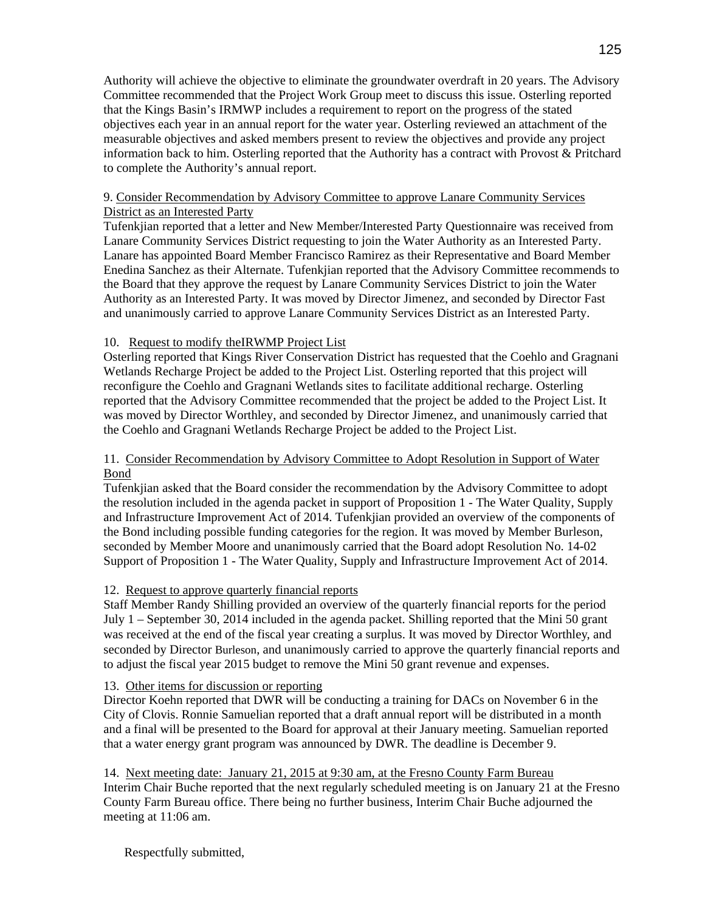Authority will achieve the objective to eliminate the groundwater overdraft in 20 years. The Advisory Committee recommended that the Project Work Group meet to discuss this issue. Osterling reported that the Kings Basin's IRMWP includes a requirement to report on the progress of the stated objectives each year in an annual report for the water year. Osterling reviewed an attachment of the measurable objectives and asked members present to review the objectives and provide any project information back to him. Osterling reported that the Authority has a contract with Provost & Pritchard to complete the Authority's annual report.

# 9. Consider Recommendation by Advisory Committee to approve Lanare Community Services District as an Interested Party

Tufenkjian reported that a letter and New Member/Interested Party Questionnaire was received from Lanare Community Services District requesting to join the Water Authority as an Interested Party. Lanare has appointed Board Member Francisco Ramirez as their Representative and Board Member Enedina Sanchez as their Alternate. Tufenkjian reported that the Advisory Committee recommends to the Board that they approve the request by Lanare Community Services District to join the Water Authority as an Interested Party. It was moved by Director Jimenez, and seconded by Director Fast and unanimously carried to approve Lanare Community Services District as an Interested Party.

# 10. Request to modify theIRWMP Project List

Osterling reported that Kings River Conservation District has requested that the Coehlo and Gragnani Wetlands Recharge Project be added to the Project List. Osterling reported that this project will reconfigure the Coehlo and Gragnani Wetlands sites to facilitate additional recharge. Osterling reported that the Advisory Committee recommended that the project be added to the Project List. It was moved by Director Worthley, and seconded by Director Jimenez, and unanimously carried that the Coehlo and Gragnani Wetlands Recharge Project be added to the Project List.

# 11. Consider Recommendation by Advisory Committee to Adopt Resolution in Support of Water Bond

Tufenkjian asked that the Board consider the recommendation by the Advisory Committee to adopt the resolution included in the agenda packet in support of Proposition 1 - The Water Quality, Supply and Infrastructure Improvement Act of 2014. Tufenkjian provided an overview of the components of the Bond including possible funding categories for the region. It was moved by Member Burleson, seconded by Member Moore and unanimously carried that the Board adopt Resolution No. 14-02 Support of Proposition 1 - The Water Quality, Supply and Infrastructure Improvement Act of 2014.

# 12. Request to approve quarterly financial reports

Staff Member Randy Shilling provided an overview of the quarterly financial reports for the period July 1 – September 30, 2014 included in the agenda packet. Shilling reported that the Mini 50 grant was received at the end of the fiscal year creating a surplus. It was moved by Director Worthley, and seconded by Director Burleson, and unanimously carried to approve the quarterly financial reports and to adjust the fiscal year 2015 budget to remove the Mini 50 grant revenue and expenses.

# 13. Other items for discussion or reporting

Director Koehn reported that DWR will be conducting a training for DACs on November 6 in the City of Clovis. Ronnie Samuelian reported that a draft annual report will be distributed in a month and a final will be presented to the Board for approval at their January meeting. Samuelian reported that a water energy grant program was announced by DWR. The deadline is December 9.

14. Next meeting date: January 21, 2015 at 9:30 am, at the Fresno County Farm Bureau Interim Chair Buche reported that the next regularly scheduled meeting is on January 21 at the Fresno County Farm Bureau office. There being no further business, Interim Chair Buche adjourned the meeting at 11:06 am.

Respectfully submitted,